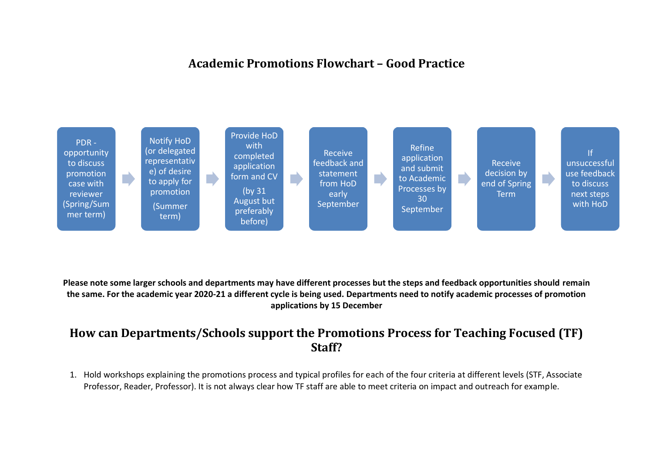## **Academic Promotions Flowchart – Good Practice**



**Please note some larger schools and departments may have different processes but the steps and feedback opportunities should remain the same. For the academic year 2020-21 a different cycle is being used. Departments need to notify academic processes of promotion applications by 15 December**

## **How can Departments/Schools support the Promotions Process for Teaching Focused (TF) Staff?**

1. Hold workshops explaining the promotions process and typical profiles for each of the four criteria at different levels (STF, Associate Professor, Reader, Professor). It is not always clear how TF staff are able to meet criteria on impact and outreach for example.